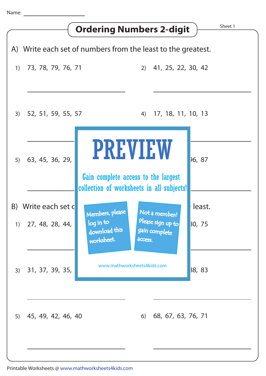